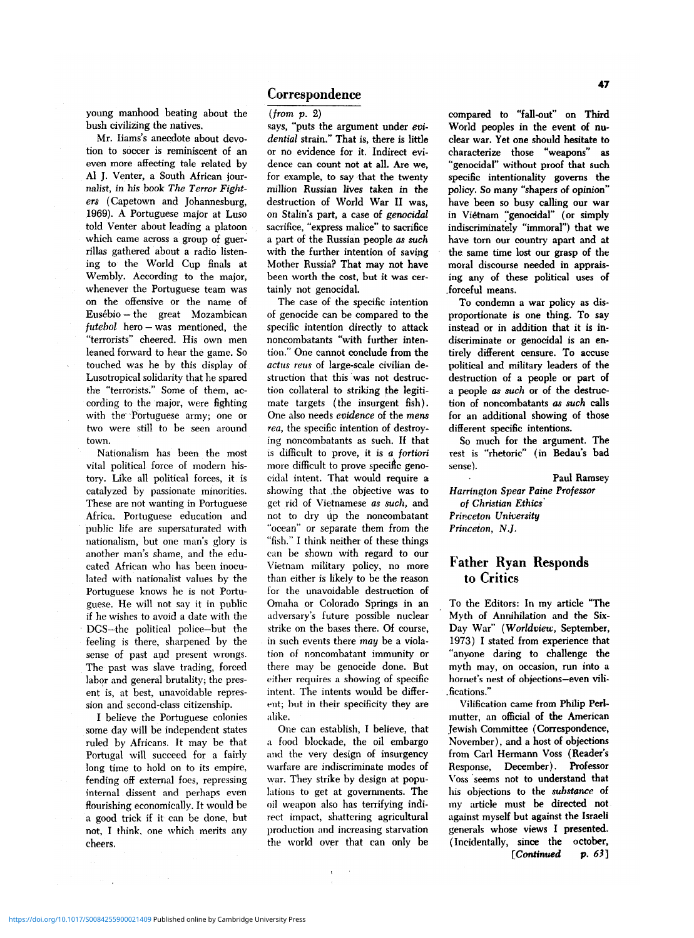### Correspondence

young manhood beating about the bush civilizing the natives.

Mr. Iiams's anecdote about devotion to soccer is reminiscent of an even more affecting tale related by Al J. Venter, a South African journalist, in his book *The Terror Fighters* (Capetown and Johannesburg, 1969). A Portuguese major at Luso told Venter about leading a platoon which came across a group of guerrillas gathered about a radio listening to the World Cup finals at Wembly. According to the major, whenever the Portuguese team was on the offensive or the name of Eusebio — the great Mozambican *futebol* hero — was mentioned, the "terrorists" cheered. His own men leaned forward to hear the game. So touched was he by this display of Lusotropical solidarity that he spared the "terrorists." Some of them, according to the major, were fighting with the Portuguese army; one or two were still to be seen around town.

Nationalism has been the most vital political force of modern history. Like all political forces, it is catalyzed by passionate minorities. These are not wanting in Portuguese Africa. Portuguese education and public life are supersaturated with nationalism, but one man's glory is another man's shame, and the educated African who has been inoculated with nationalist values by the Portuguese knows he is not Portuguese. He will not say it in public if he wishes to avoid a date with the • DGS—the political police—but the feeling is there, sharpened by the sense of past and present wrongs. The past was slave trading, forced labor and general brutality; the present is, at best, unavoidable repression and second-class citizenship.

I believe the Portuguese colonies some day will be independent states ruled by Africans. It may be that Portugal will succeed for a fairly long time to hold on to its empire, fending off external foes, repressing internal dissent and perhaps even flourishing economically. It would be a good trick if it can be done, but not, I think, one which merits any cheers.

*(from p.* 2)

says, "puts the argument under *evidential* strain." That is, there is little or no evidence for it. Indirect evidence can count not at all. Are we, for example, to say that the twenty million Russian lives taken in the destruction of World War II was, on Stalin's part, a case of *genocidal*  sacrifice, "express malice" to sacrifice a part of the Russian people as *such*  with the further intention of saving Mother Russia? That may not have been worth the cost, but it was certainly not genocidal.

The case of the specific intention of genocide can be compared to the specific intention directly to attack noncombatants "with further intention." One cannot conclude from the *actus reus* of large-scale civilian destruction that this was not destruction collateral to striking the legitimate targets (the insurgent fish). One also needs *evidence* of the *mens rea,* the specific intention of destroying noncombatants as such. If that is difficult to prove, it is *a fortiori*  more difficult to prove specific genocidal intent. That would require a showing that .the objective was to get rid of Vietnamese *as such,* and not to dry up the noncombatant "ocean" or separate them from the "fish." I think neither of these things can be shown with regard to our Vietnam military policy, no more than either is likely to be the reason for the unavoidable destruction of Omaha or Colorado Springs in an adversary's future possible nuclear strike on the bases there. Of course, in such events there *may* be a violation of noncombatant immunity or there may be genocide done. But either requires a showing of specific intent. The intents would be different; but in their specificity they are alike.

One can establish, I believe, that a food blockade, the oil embargo and the very design of insurgency warfare are indiscriminate modes of war. They strike by design at populations to get at governments. The oil weapon also has terrifying indirect impact, shattering agricultural production and increasing starvation the world over that can only be

compared to "fall-out" on Third World peoples in the event of nuclear war. Yet one should hesitate to characterize those "weapons" as "genocidal" without proof that such specific intentionality governs the policy. So many "shapers of opinion" have been so busy calling our war in Vietnam "genocidal" (or simply indiscriminately "immoral") that we have torn our country apart and at the same time lost our grasp of the moral discourse needed in appraising any of these political uses of .forceful means.

To condemn a war policy as disproportionate is one thing. To say instead or in addition that it is indiscriminate or genocidal is an entirely different censure. To accuse political and military leaders of the destruction of a people or part of a people as *such* or of the destruction of noncombatants *as such* calls for an additional showing of those different specific intentions.

So much for the argument. The rest is "rhetoric" (in Bedau's bad sense).

Paul Ramsey *Harrington Spear Paine Professor of Christian Ethics Princeton University Princeton, N.J.* 

# Father Ryan Responds to Critics

To the Editors: In my article "The Myth of Annihilation and the Six-Day War" *(Worldview,* September, 1973) I stated from experience that "anyone daring to challenge the myth may, on occasion, run into a hornet's nest of objections—even vili- .fications."

Vilification came from Philip Perlmutter, an official of the American Jewish Committee (Correspondence, November), and a host of objections from Carl Hermann Voss (Reader's Response, December). Professor Voss seems not to understand that his objections to the *substance* of my article must be directed not against myself but against the Israeli generals whose views I presented. (Incidentally, since the october, *[Continued p. 6J]* 

 $\sim$   $\sim$